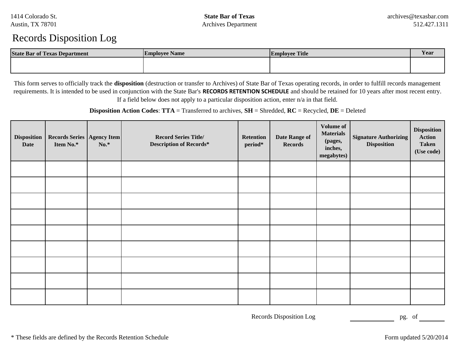1414 Colorado St. Austin, TX 78701

## Records Disposition Log

| <b>State Bar of Texas Department</b> | <b>Employee Name</b> | <b>Employee Title</b> | Year |
|--------------------------------------|----------------------|-----------------------|------|
|                                      |                      |                       |      |
|                                      |                      |                       |      |

This form serves to officially track the **disposition** (destruction or transfer to Archives) of State Bar of Texas operating records, in order to fulfill records management requirements. It is intended to be used in conjunction with the State Bar's **RECORDS RETENTION SCHEDULE** and should be retained for 10 years after most recent entry. If a field below does not apply to a particular disposition action, enter n/a in that field.

**Disposition Action Codes**: **TTA** = Transferred to archives, **SH** = Shredded, **RC** = Recycled, **DE** = Deleted

| <b>Disposition</b><br>Date | Records Series   Agency Item  <br>Item No.* | $No.*$ | <b>Record Series Title/</b><br><b>Description of Records*</b> | <b>Retention</b><br>period* | Date Range of<br><b>Records</b> | Volume of<br><b>Materials</b><br>(pages,<br>inches,<br>megabytes) | <b>Signature Authorizing</b><br><b>Disposition</b> | <b>Disposition</b><br><b>Action</b><br><b>Taken</b><br>(Use code) |
|----------------------------|---------------------------------------------|--------|---------------------------------------------------------------|-----------------------------|---------------------------------|-------------------------------------------------------------------|----------------------------------------------------|-------------------------------------------------------------------|
|                            |                                             |        |                                                               |                             |                                 |                                                                   |                                                    |                                                                   |
|                            |                                             |        |                                                               |                             |                                 |                                                                   |                                                    |                                                                   |
|                            |                                             |        |                                                               |                             |                                 |                                                                   |                                                    |                                                                   |
|                            |                                             |        |                                                               |                             |                                 |                                                                   |                                                    |                                                                   |
|                            |                                             |        |                                                               |                             |                                 |                                                                   |                                                    |                                                                   |
|                            |                                             |        |                                                               |                             |                                 |                                                                   |                                                    |                                                                   |
|                            |                                             |        |                                                               |                             |                                 |                                                                   |                                                    |                                                                   |
|                            |                                             |        |                                                               |                             |                                 |                                                                   |                                                    |                                                                   |
|                            |                                             |        |                                                               |                             |                                 |                                                                   |                                                    |                                                                   |

Records Disposition Log

pg. of